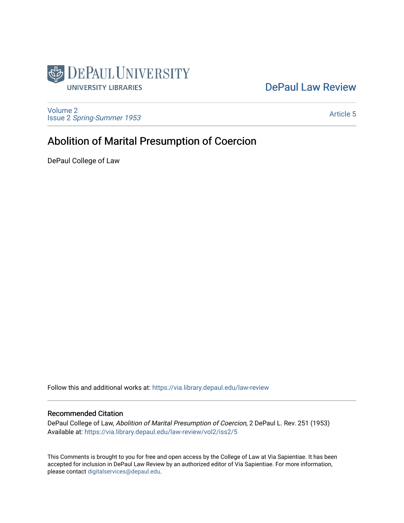

## [DePaul Law Review](https://via.library.depaul.edu/law-review)

[Volume 2](https://via.library.depaul.edu/law-review/vol2) Issue 2 [Spring-Summer 1953](https://via.library.depaul.edu/law-review/vol2/iss2) 

[Article 5](https://via.library.depaul.edu/law-review/vol2/iss2/5) 

# Abolition of Marital Presumption of Coercion

DePaul College of Law

Follow this and additional works at: [https://via.library.depaul.edu/law-review](https://via.library.depaul.edu/law-review?utm_source=via.library.depaul.edu%2Flaw-review%2Fvol2%2Fiss2%2F5&utm_medium=PDF&utm_campaign=PDFCoverPages) 

#### Recommended Citation

DePaul College of Law, Abolition of Marital Presumption of Coercion, 2 DePaul L. Rev. 251 (1953) Available at: [https://via.library.depaul.edu/law-review/vol2/iss2/5](https://via.library.depaul.edu/law-review/vol2/iss2/5?utm_source=via.library.depaul.edu%2Flaw-review%2Fvol2%2Fiss2%2F5&utm_medium=PDF&utm_campaign=PDFCoverPages) 

This Comments is brought to you for free and open access by the College of Law at Via Sapientiae. It has been accepted for inclusion in DePaul Law Review by an authorized editor of Via Sapientiae. For more information, please contact [digitalservices@depaul.edu.](mailto:digitalservices@depaul.edu)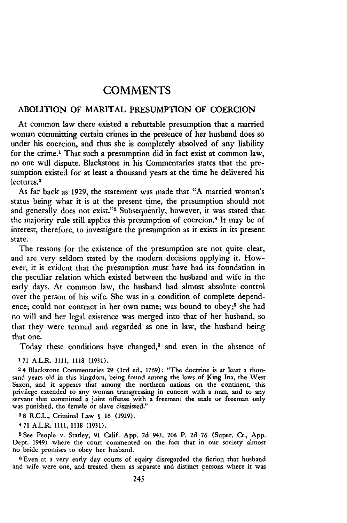### COMMENTS

#### ABOLITION OF MARITAL PRESUMPTION OF COERCION

At common law there existed a rebuttable presumption that a married woman committing certain crimes in the presence of her husband does so under his coercion, and thus she is completely absolved of any liability for the crime.' That such a presumption did in fact exist at common law, no one will dispute. Blackstone in his Commentaries states that the presumption existed for at least a thousand years at the time he delivered his lectures.<sup>2</sup>

As far back as 1929, the statement was made that "A married woman's status being what it is at the present time, the presumption should not and generally does not exist."<sup>3</sup> Subsequently, however, it was stated that. the majority rule still applies this presumption of coercion.<sup>4</sup> It may be of interest, therefore, to investigate the presumption as it exists in its present state.

The reasons for the existence of the presumption are not quite clear, and are very seldom stated by the modem decisions applying it. However, it is evident that the presumption must have had its foundation in the peculiar relation which existed between the husband and wife in the early days. At common law, the husband had almost absolute control over the person of his wife. She was in a condition of complete dependence; could not contract in her own name; was bound to obey;<sup>5</sup> she had no will and her legal existence was merged into that of her husband, so that they were termed and regarded as one in law, the husband being that one.

Today these conditions have changed, $6$  and even in the absence of

**171** A.L.R. 1111, 1118 (1931).

2 4 Blackstone Commentaries 29 (3rd ed., 1769): "The doctrine is at least a thousand years old in this kingdom, being found among the laws of King Ina, the West Saxon, and it appears that among the northern nations on the continent, this privilege extended to any woman transgressing in concert with a man, and to any servant that committed a joint offense with a freeman; the male or freeman only was punished, the female or slave dismissed."

**3** 8 R.C.L., Criminal Law **S** 16 (1929).

4 **71** A.L.R. 1111, 1118 (1931).

**5** See People v. Statley, 91 Calif. App. 2d 943, 206 P. 2d 76 (Super. Ct., App. Dept. 1949) where the court commented on the fact that in our society almost no bride promises to obey her husband.

6Even at a very early day courts of equity disregarded the fiction that husband and wife were one, and treated them as separate and distinct persons where it was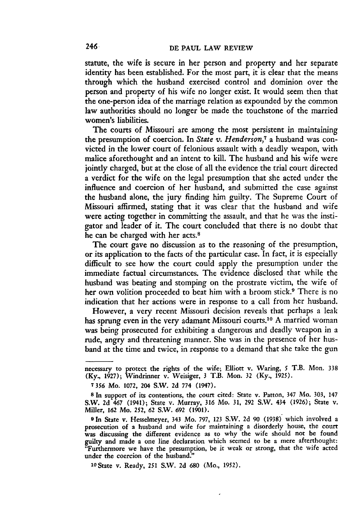statute, the wife is secure in her person and property and her separate identity has been established. For the most part, it is clear that the means through which the husband exercised control and dominion over the person and property of his wife no longer exist. It would seem then that the one-person idea of the marriage relation as expounded by the common law authorities should no longer be made the touchstone of the married women's liabilities.

The courts of Missouri are among the most persistent in maintaining the presumption of coercion. In *State v. Henderson,7* a husband was convicted in the lower court of felonious assault with a deadly weapon, with malice aforethought and an intent to kill. The husband and his wife were jointly charged, but at the close of all the evidence the trial court directed a verdict for the wife on the legal presumption that she acted under the influence and coercion of her husband, and submitted the case against the husband alone, the jury finding him guilty. The Supreme Court of Missouri affirmed, stating that it was clear that the husband and wife were acting together in committing the assault, and that he was the instigator and leader of it. The court concluded that there is no doubt that he can be charged with her acts.<sup>8</sup>

The court gave no discussion as to the reasoning of the presumption, or its application to the facts of the particular case. In fact, it is especially difficult to see how the court could apply the presumption under the immediate factual circumstances. The evidence disclosed that while the husband was beating and stomping on the prostrate victim, the wife of her own volition proceeded to beat him with a broom stick.9 There is no indication that her actions were in response to a call from her husband.

However, a very recent Missouri decision reveals that perhaps a leak has sprung even in the very adamant Missouri courts.<sup>10</sup> A married woman was being prosecuted for exhibiting a dangerous and deadly weapon in a rude, angry and threatening manner. She was in the presence of her husband at the time and twice, in response to a demand that she take the gun

1oState v. Ready, 251 S.W. 2d **680** (Mo., 1952).

necessary to protect the rights of the wife; Elliott v. Waring, 5 T.B. Mon. 338 (Ky., 1927); Windrinner v. Weisiger, 3 T.B. Mon. 32 (Ky., 1925).

**<sup>7356</sup>** Mo. **1072,** 204 S.W. 2d **774** (1947).

**<sup>8</sup>** In support of its contentions, the court cited: State v. Patton, 347 **Mo.** 303, 147 S.W. 2d 467 (1941); State v. Murray, **316** Mo. 31, 292 S.W. 434 (1926); State v. Miller, **162** Mo. 252, **62** S.W. 692 (1901).

**<sup>9</sup> In** State v. Hesselmeyer, 343 Mo. 797, 123 S.W. 2d 90 (1938) which involved a prosecution of a husband and wife for maintaining a disorderly house, the court was discussing the different evidence as to why the wife should not be found guilty and made a one line declaration which seemed to be a mere afterthought: "Furthermore we have the presumption, be it weak or strong, that the wife acted under the coercion of the husband."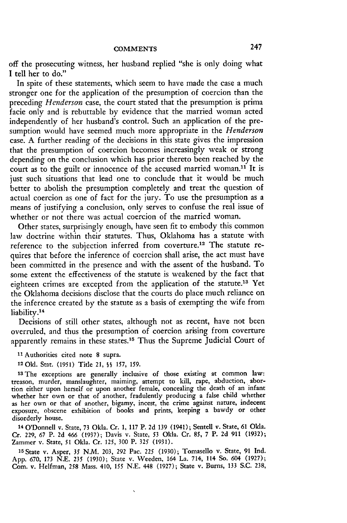off the prosecuting witness, her husband replied "she is only doing what **I** tell her to do."

In spite of these statements, which seem to have made the case a much stronger one for the application of the presumption of coercion than the preceding *Henderson* case, the court stated that the presumption is prima facie only and is rebuttable **by** evidence that the married woman acted independently of her husband's control. Such an application of the presumption would have seemed much more appropriate in the *Henderson* case. **A** further reading of the decisions in this state gives the impression that the presumption of coercion becomes increasingly weak or strong depending on the conclusion which has prior thereto been reached **by** the court as to the guilt or innocence of the accused married woman.<sup>11</sup> It is just such situations that lead one to conclude that it would be much better to abolish the presumption completely and treat the question of actual coercion as one of fact for the jury. To use the presumption as a means of justifying a conclusion, only serves to confuse the real issue of whether or not there was actual coercion of the married woman.

Other states, surprisingly enough, have seen fit to embody this common law doctrine within their statutes. Thus, Oklahoma has a statute with reference to the subjection inferred from coverture.<sup>12</sup> The statute requires that before the inference of coercion shall arise, the act must have been committed in the presence and with the assent of the husband. To some extent the effectiveness of the statute is weakened **by** the fact that eighteen crimes are excepted from the application of the **statute.13** Yet the Oklahoma decisions disclose that the courts do place much reliance on the inference created **by** the statute as a basis of exempting the wife from liability.<sup>14</sup>

Decisions of still other states, although not as recent, have not been overruled, and thus the presumption of coercion arising from coverture apparently remains in these states.<sup>15</sup> Thus the Supreme Judicial Court of

**11 Authorities cited note 8 supra.**

**12 Okl.** Stat. **(1951)** Title **21, §§ 157,** 159.

**13 The exceptions are generally inclusive of those existing at common law: treason, murder, manslaughter, maiming, attempt to kill, rape, abduction, abortion either upon herself or upon another female, concealing the death of an infant** whether her own or that of another, fradulently producing a false child whether **as her own or that of another, bigamy, incest, the crime against nature, indecent exposure, obscene exhibition of books and prints, keeping a bawdy or other disorderly house.**

14 O'Donnell v. State, **73** Okla. Cr. **1, 117** P. **2d 139** (1941); Sentell v. State, **61** Okla. Cr. **229, 67** P. **2d** 466 **(1937);** Davis v. State, 53 Okla. Cr. 85, **7** P. **2d 911 (1932);** Zammer v. State, **51** Okla. Cr. **125, 300** P. **325 (1931).**

**15State v. Asper,** 35 **N.M. 203, 292** Pac. **225 (1930);** Tomasello v. State, **91 Ind. App. 670, 173 N.E.** *235* **(1930);** State v. Veeden, 164 La. 714, 114 So. 604 **(1927);** Com. v. Helfman, **258** Mass. 410, *155* **N.E.** 448 **(1927);** State v. Bums, **133 S.C. 238,**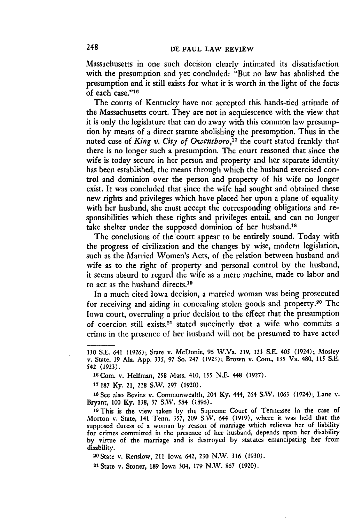Massachusetts in one such decision clearly intimated its dissatisfaction with the presumption and yet concluded: "But no law has abolished the presumption and it still exists for what it is worth in the light of the facts of each case."16

The courts of Kentucky have not accepted this hands-tied attitude of the Massachusetts court. They are not in acquiescence with the view that it is only the legislature that can do away with this common law presumption by means of a direct statute abolishing the presumption. Thus in the noted case of *King v. City of Owensboro,17* the court stated frankly that there is no longer such a presumption. The court reasoned that since the wife is today secure in her person and property and her separate identity has been established, the means through which the husband exercised control and dominion over the person and property of his wife no longer exist. It was concluded that since the wife had sought and obtained these new rights and privileges which have placed her upon a plane of equality with her husband, she must accept the corresponding obligations and responsibilities which these rights and privileges entail, and can no longer take shelter under the supposed dominion of her husband.<sup>18</sup>

The conclusions of the court appear to be entirely sound. Today with the progress of civilization and the changes by wise, modern legislation, such as the Married Women's Acts, of the relation between husband and wife as to the right of property and personal control by the husband, it seems absurd to regard the wife as a mere machine, made to labor and to act as the husband directs.<sup>19</sup>

In a much cited Iowa decision, a married woman was being prosecuted for receiving and aiding in concealing stolen goods and property.<sup>20</sup> The Iowa court, overruling a prior decision to the effect that the presumption of coercion still exists,<sup>21</sup> stated succinctly that a wife who commits a crime in the presence of her husband will not be presumed to have acted

**1** 187 Ky. 21, 218 S.W. 297 (1920).

**Is** See also Bevins v. Commonwealth, 204 Ky. 444, 264 S.V. 1063 (1924); Lane v. Bryant, 100 Ky. 138, 37 S.W. 584 (1896).

**<sup>19</sup>**This is the view taken by the Supreme Court of Tennessee in the case of Morton v. State, 141 Tenn. 357, 209 S.W. 644 (1919), where it was held that the supposed duress of a woman by reason of marriage which relieves her of liability for crimes committed in the presence of her husband, depends upon her disability by virtue of the marriage and is destroyed by statutes emancipating her from disability. <sup>20</sup> State v. Renslow, 211 Iowa 642, **230** N.W. 316 **(1930).**

21 State v. Stoner, **189** Iowa 304, **179** N.W. **867 (1920).**

<sup>130</sup> S.E. 641 (1926); State v. MeDonie, 96 W.Va. 219, 123 S.E. 405 (1924); Mosley v. State, 19 Ala. App. 335, 97 So. 247 (1923); Brown v. Com., **135** Va. 480, **115** S.E. *542* (1923).

<sup>16</sup>Com. v. Helfman, **258** Mass. 410, **155** N.E. 448 (1927).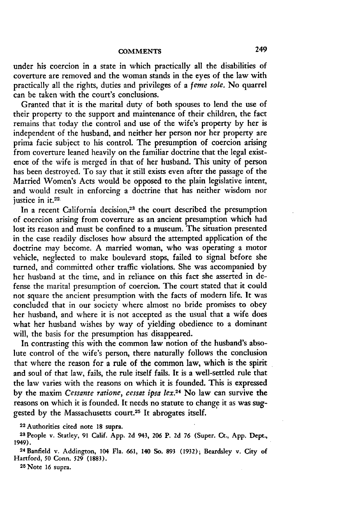under his coercion in a state in which practically all the disabilities of coverture are removed and the woman stands in the eyes of the law with practically all the rights, duties and privileges of a *ferne sole.* No quarrel can be taken with the court's conclusions.

Granted that it is the marital duty of both spouses to lend the use of their property to the support and maintenance of their children, the fact remains that today the control and use of the wife's property by her is independent of the husband, and neither her person nor her property are prima facie subject to his control. The presumption of coercion arising from coverture leaned heavily on the familiar doctrine that the legal existence of the wife is merged in that of her husband. This unity of person has been destroyed. To say that it still exists even after the passage of the Married Women's Acts would be opposed to the plain legislative intent, and would result in enforcing a doctrine that has neither wisdom nor justice in it.<sup>22.</sup>

In a recent California decision,<sup>23</sup> the court described the presumption of coercion arising from coverture as an ancient presumption which had lost its reason and must be confined to a museum. The situation presented in the case readily discloses how absurd the attempted application of the doctrine may become. A married woman, who was operating a motor vehicle, neglected to make boulevard stops, failed to signal before she turned, and committed other traffic violations. She was accompanied **by** her husband at the time, and in reliance on this fact she asserted in defense the marital presumption of coercion. The court stated that it could not square the ancient presumption with the facts of modem life. It was concluded that in our society where almost no bride promises to obey her husband, and where it is not accepted as the usual that a wife does what her husband wishes **by** way of yielding obedience to a dominant will, the basis for the presumption has disappeared.

In contrasting this with the common law notion of the husband's absolute control of the wife's person, there naturally follows the conclusion that where the reason for a rule of the common law, which is the spirit and soul of that law, fails, the rule itself fails. It is a well-settled rule that the law varies with the reasons on which it is founded. This is expressed **by** the maxim *Cessante ratione, cessat ipsa lex.24* No law can survive the reasons on which it is founded. It needs no statute to change it as was **sug**gested by the Massachusetts court.25 It abrogates itself.

**22** Authorities cited note **18** supra.

**23** People v. Statley, **91** Calif. App. **2d** 943, **206** P. **2d 76** (Super. Ct., App. Dept., 1949).

**<sup>24</sup>**Banfield v. Addington, 104 Fla. 661, 140 So. 893 (1932); Beardsley v. City of Hartford, 50 Conn. **529** (1883).

**25** Note 16 supra.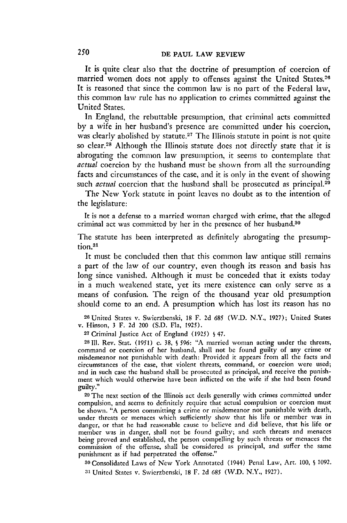It is quite clear also that the doctrine of presumption of coercion of married women does not apply to offenses against the United States. It is reasoned that since the common law is no part of the Federal law, this common law rule has no application to crimes committed against the United States.

In England, the rebuttable presumption, that criminal acts committed by a wife in her husband's presence are committed under his coercion, was clearly abolished by statute.<sup>27</sup> The Illinois statute in point is not quite so clear.<sup>28</sup> Although the Illinois statute does not directly state that it is abrogating the common law presumption, it seems to contemplate that *actual* coercion by the husband must be shown from all the surrounding facts and circumstances of the case, and it is only in the event of showing such *actual* coercion that the husband shall be prosecuted as principal.<sup>29</sup>

The New York statute in point leaves no doubt as to the intention of the legislature:

It is not a defense to a married woman charged with crime, that the alleged criminal act was committed by her in the presence of her husband.<sup>30</sup>

The statute has been interpreted as definitely abrogating the presumption.<sup>31</sup>

It must be concluded then that this common law antique still remains a part of the law of our country, even though its reason and basis has long since vanished. Although it must be conceded that it exists today in a much weakened state, yet its mere existence can only serve as a means of confusion. The reign of the thousand year old presumption should come to an end. A presumption which has lost its reason has no

**<sup>26</sup>**United States v. Swierzbenski, 18 F. 2d *685* (W.D. N.Y., 1927); United States v. Hinson, 3 F. 2d 200 (S.D. Fla, 1925).

**<sup>27</sup>**Criminal Justice Act of England (1925) **§** 47.

28111. Rev. Stat. (1951) c. 38, **S** 596: "A married woman acting under the threats, command or coercion of her husband, shall not be found guilty of any crime or misdemeanor not punishable with death: Provided it appears from all the facts and circumstances of the case, that violent threats, command, or coercion were used; and in such case the husband shall be prosecuted as principal, and receive the punishment which would otherwise have been inflicted on the wife if she had been found guilty."

**<sup>29</sup>**The next section of the Illinois act deals generally with crimes committed under compulsion, and seems to definitely require that actual compulsion or coercion must be shown. "A person committing a crime or misdemeanor not punishable with death, under threats or menaces which sufficiently show that his life or member was in danger, or that he had reasonable cause to believe and did believe, that his life or member was in danger, shall not be found guilty; and such threats and menaces being proved and established, the person compelling by such threats or menaces the commission of the offense, shall be considered as principal, and suffer the same punishment as if had perpetrated the offense."

**<sup>30</sup>**Consolidated Laws of New York Annotated (1944) Penal Law, Art. 100, **§** 1092. **31** United States v. Swierzbenski, 18 F. 2d 685 (W.D. N.Y., 1927).